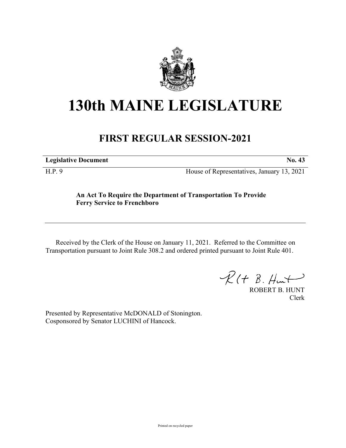

# **130th MAINE LEGISLATURE**

## **FIRST REGULAR SESSION-2021**

**Legislative Document No. 43**

H.P. 9 House of Representatives, January 13, 2021

### **An Act To Require the Department of Transportation To Provide Ferry Service to Frenchboro**

Received by the Clerk of the House on January 11, 2021. Referred to the Committee on Transportation pursuant to Joint Rule 308.2 and ordered printed pursuant to Joint Rule 401.

 $\mathcal{R}(t \; \mathcal{B}, \mathcal{H}_{\mathsf{int}})$ 

ROBERT B. HUNT Clerk

Presented by Representative McDONALD of Stonington. Cosponsored by Senator LUCHINI of Hancock.